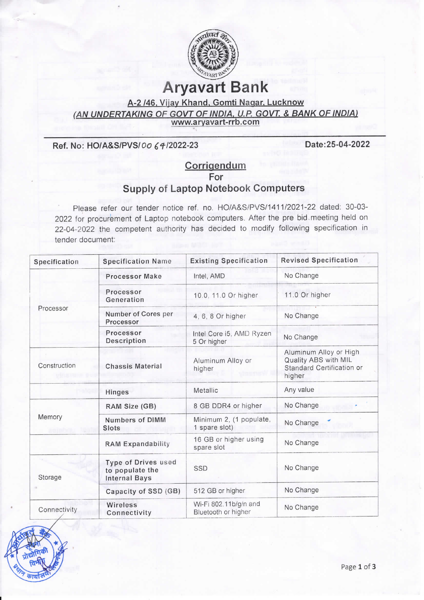

## **Aryavart Bank**

## A-2 /46, Vijay Khand, Gomti Nagar, Lucknow (AN UNDERTAKING OF GOVT OF INDIA, U.P. GOVT. & BANK OF INDIA) www.aryavart-rrb.com

Ref. No: HO/A&S/PVS/00 64/2022-23

Date: 25-04-2022

## Corrigendum For **Supply of Laptop Notebook Computers**

Please refer our tender notice ref. no. HO/A&S/PVS/1411/2021-22 dated: 30-03-2022 for procurement of Laptop notebook computers. After the pre bid meeting held on 22-04-2022 the competent authority has decided to modify following specification in tender document:

| Specification | <b>Specification Name</b>                                             | <b>Existing Specification</b>                | <b>Revised Specification</b>                                                          |
|---------------|-----------------------------------------------------------------------|----------------------------------------------|---------------------------------------------------------------------------------------|
| Processor     | <b>Processor Make</b>                                                 | Intel, AMD                                   | No Change                                                                             |
|               | Processor<br>Generation                                               | 10.0, 11.0 Or higher                         | 11.0 Or higher                                                                        |
|               | Number of Cores per<br>Processor                                      | 4, 6, 8 Or higher                            | No Change                                                                             |
|               | Processor<br>Description                                              | Intel Core i5, AMD Ryzen<br>5 Or higher      | No Change                                                                             |
| Construction  | <b>Chassis Material</b>                                               | Aluminum Alloy or<br>higher                  | Aluminum Alloy or High<br>Quality ABS with MIL<br>Standard Certification or<br>higher |
|               | Hinges                                                                | Metallic                                     | Any value                                                                             |
| Memory        | RAM Size (GB)                                                         | 8 GB DDR4 or higher                          | No Change                                                                             |
|               | <b>Numbers of DIMM</b><br>Slots                                       | Minimum 2, (1 populate,<br>1 spare slot)     | No Change                                                                             |
|               | <b>RAM Expandability</b>                                              | 16 GB or higher using<br>spare slot          | No Change                                                                             |
| Storage       | <b>Type of Drives used</b><br>to populate the<br><b>Internal Bays</b> | SSD                                          | No Change                                                                             |
|               | Capacity of SSD (GB)                                                  | 512 GB or higher                             | No Change                                                                             |
| Connectivity  | Wireless<br>Connectivity                                              | Wi-Fi 802.11b/g/n and<br>Bluetooth or higher | No Change                                                                             |